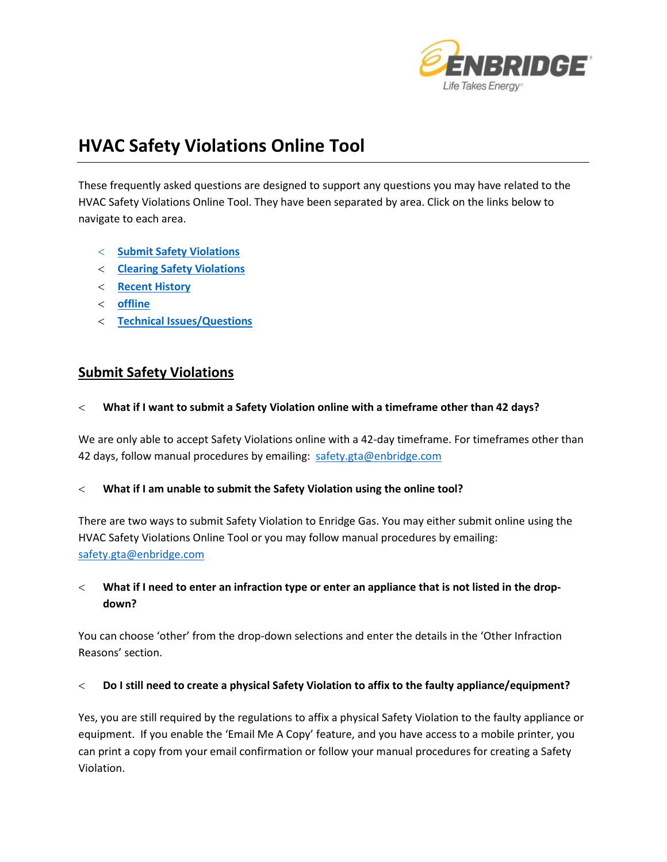

# **HVAC Safety Violations Online Tool**

These frequently asked questions are designed to support any questions you may have related to the HVAC Safety Violations Online Tool. They have been separated by area. Click on the links below to navigate to each area.

- < **[Submit Safety Violations](#page-0-0)**
- < **[Clearing Safety Violations](#page-1-0)**
- < **[Recent History](#page-2-0)**
- < **[offline](#page-2-1)**
- < **[Technical Issues/Questions](#page-3-0)**

## <span id="page-0-0"></span>**Submit Safety Violations**

< **What if I want to submit a Safety Violation online with a timeframe other than 42 days?** 

We are only able to accept Safety Violations online with a 42-day timeframe. For timeframes other than 42 days, follow manual procedures by emailing: [safety.gta@enbridge.com](mailto:safety.gta@enbridge.com)

#### < **What if I am unable to submit the Safety Violation using the online tool?**

There are two ways to submit Safety Violation to Enridge Gas. You may either submit online using the HVAC Safety Violations Online Tool or you may follow manual procedures by emailing: [safety.gta@enbridge.com](mailto:safety.gta@enbridge.com)

< **What if I need to enter an infraction type or enter an appliance that is not listed in the dropdown?**

You can choose 'other' from the drop-down selections and enter the details in the 'Other Infraction Reasons' section.

#### < **Do I still need to create a physical Safety Violation to affix to the faulty appliance/equipment?**

Yes, you are still required by the regulations to affix a physical Safety Violation to the faulty appliance or equipment. If you enable the 'Email Me A Copy' feature, and you have access to a mobile printer, you can print a copy from your email confirmation or follow your manual procedures for creating a Safety Violation.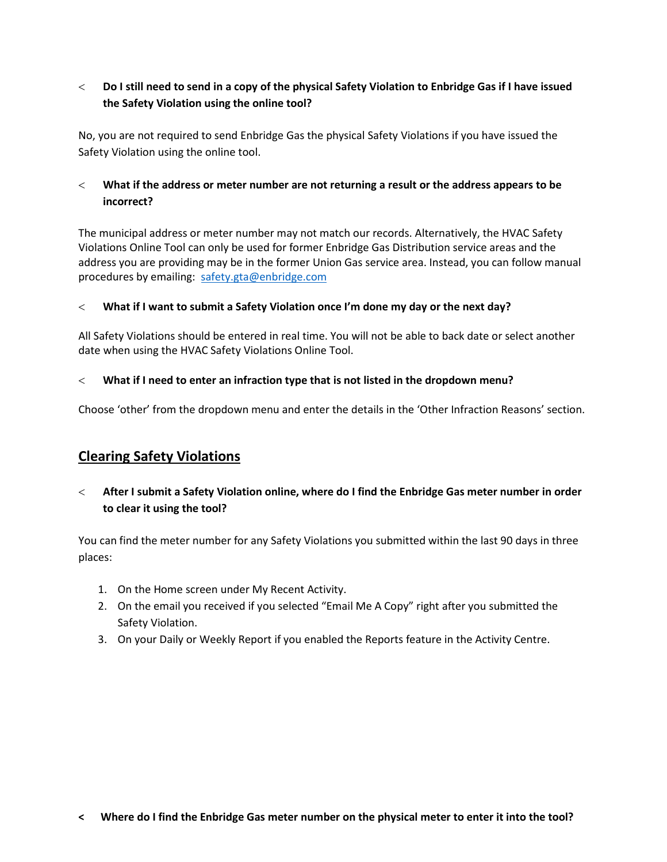## < **Do I still need to send in a copy of the physical Safety Violation to Enbridge Gas if I have issued the Safety Violation using the online tool?**

No, you are not required to send Enbridge Gas the physical Safety Violations if you have issued the Safety Violation using the online tool.

## < **What if the address or meter number are not returning a result or the address appears to be incorrect?**

The municipal address or meter number may not match our records. Alternatively, the HVAC Safety Violations Online Tool can only be used for former Enbridge Gas Distribution service areas and the address you are providing may be in the former Union Gas service area. Instead, you can follow manual procedures by emailing: [safety.gta@enbridge.com](mailto:safety.gta@enbridge.com)

## < **What if I want to submit a Safety Violation once I'm done my day or the next day?**

All Safety Violations should be entered in real time. You will not be able to back date or select another date when using the HVAC Safety Violations Online Tool.

## < **What if I need to enter an infraction type that is not listed in the dropdown menu?**

Choose 'other' from the dropdown menu and enter the details in the 'Other Infraction Reasons' section.

# <span id="page-1-0"></span>**Clearing Safety Violations**

## < **After I submit a Safety Violation online, where do I find the Enbridge Gas meter number in order to clear it using the tool?**

You can find the meter number for any Safety Violations you submitted within the last 90 days in three places:

- 1. On the Home screen under My Recent Activity.
- 2. On the email you received if you selected "Email Me A Copy" right after you submitted the Safety Violation.
- 3. On your Daily or Weekly Report if you enabled the Reports feature in the Activity Centre.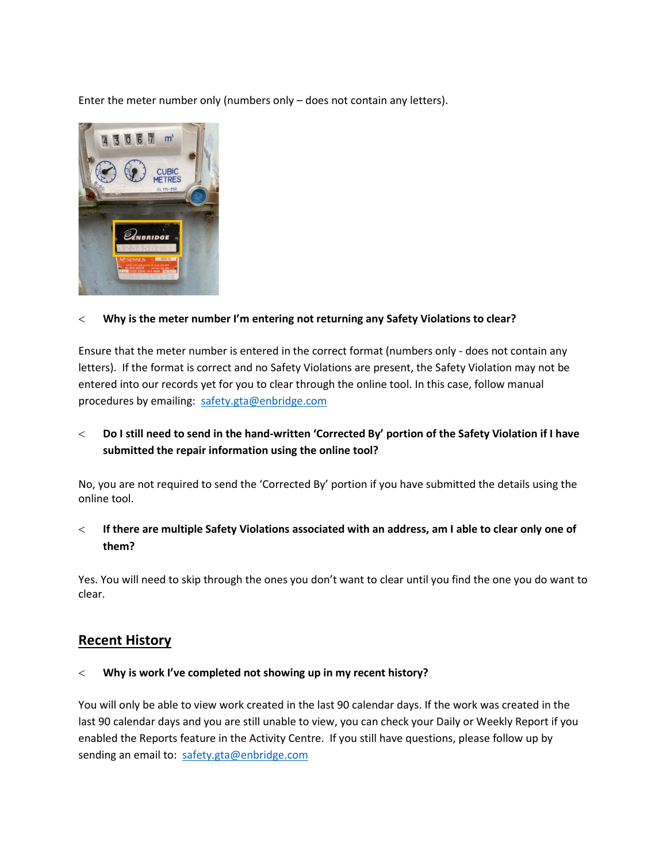Enter the meter number only (numbers only – does not contain any letters).



## < **Why is the meter number I'm entering not returning any Safety Violations to clear?**

Ensure that the meter number is entered in the correct format (numbers only - does not contain any letters). If the format is correct and no Safety Violations are present, the Safety Violation may not be entered into our records yet for you to clear through the online tool. In this case, follow manual procedures by emailing: [safety.gta@enbridge.com](mailto:safety.gta@enbridge.com)

## < **Do I still need to send in the hand-written 'Corrected By' portion of the Safety Violation if I have submitted the repair information using the online tool?**

No, you are not required to send the 'Corrected By' portion if you have submitted the details using the online tool.

## < **If there are multiple Safety Violations associated with an address, am I able to clear only one of them?**

Yes. You will need to skip through the ones you don't want to clear until you find the one you do want to clear.

## <span id="page-2-0"></span>**Recent History**

#### < **Why is work I've completed not showing up in my recent history?**

<span id="page-2-1"></span>You will only be able to view work created in the last 90 calendar days. If the work was created in the last 90 calendar days and you are still unable to view, you can check your Daily or Weekly Report if you enabled the Reports feature in the Activity Centre. If you still have questions, please follow up by sending an email to: [safety.gta@enbridge.com](mailto:safety.gta@enbridge.com)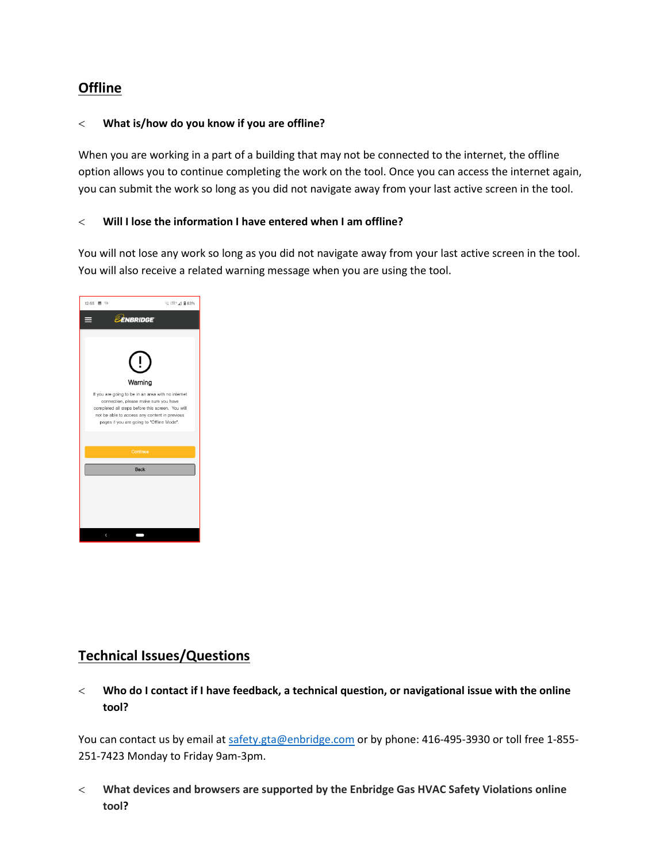# **Offline**

#### < **What is/how do you know if you are offline?**

When you are working in a part of a building that may not be connected to the internet, the offline option allows you to continue completing the work on the tool. Once you can access the internet again, you can submit the work so long as you did not navigate away from your last active screen in the tool.

## < **Will I lose the information I have entered when I am offline?**

You will not lose any work so long as you did not navigate away from your last active screen in the tool. You will also receive a related warning message when you are using the tool.



# <span id="page-3-0"></span>**Technical Issues/Questions**

< **Who do I contact if I have feedback, a technical question, or navigational issue with the online tool?**

You can contact us by email at [safety.gta@enbridge.com](mailto:safety.niagara@enbridge.com) or by phone: 416-495-3930 or toll free 1-855-251-7423 Monday to Friday 9am-3pm.

< **What devices and browsers are supported by the Enbridge Gas HVAC Safety Violations online tool?**